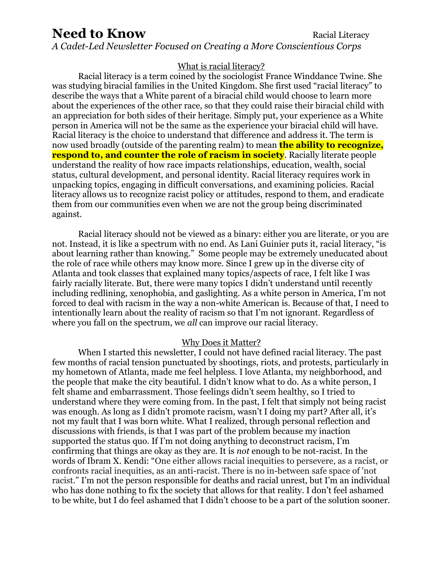# **Need to Know Racial Literacy**

*A Cadet-Led Newsletter Focused on Creating a More Conscientious Corps*

### What is racial literacy?

Racial literacy is a term coined by the sociologist France Winddance Twine. She was studying biracial families in the United Kingdom. She first used "racial literacy" to describe the ways that a White parent of a biracial child would choose to learn more about the experiences of the other race, so that they could raise their biracial child with an appreciation for both sides of their heritage. Simply put, your experience as a White person in America will not be the same as the experience your biracial child will have. Racial literacy is the choice to understand that difference and address it. The term is now used broadly (outside of the parenting realm) to mean **the ability to recognize, respond to, and counter the role of racism in society**. Racially literate people understand the reality of how race impacts relationships, education, wealth, social status, cultural development, and personal identity. Racial literacy requires work in unpacking topics, engaging in difficult conversations, and examining policies. Racial literacy allows us to recognize racist policy or attitudes, respond to them, and eradicate them from our communities even when we are not the group being discriminated against.

Racial literacy should not be viewed as a binary: either you are literate, or you are not. Instead, it is like a spectrum with no end. As Lani Guinier puts it, racial literacy, "is about learning rather than knowing." Some people may be extremely uneducated about the role of race while others may know more. Since I grew up in the diverse city of Atlanta and took classes that explained many topics/aspects of race, I felt like I was fairly racially literate. But, there were many topics I didn't understand until recently including redlining, xenophobia, and gaslighting. As a white person in America, I'm not forced to deal with racism in the way a non-white American is. Because of that, I need to intentionally learn about the reality of racism so that I'm not ignorant. Regardless of where you fall on the spectrum, we *all* can improve our racial literacy.

#### Why Does it Matter?

When I started this newsletter, I could not have defined racial literacy. The past few months of racial tension punctuated by shootings, riots, and protests, particularly in my hometown of Atlanta, made me feel helpless. I love Atlanta, my neighborhood, and the people that make the city beautiful. I didn't know what to do. As a white person, I felt shame and embarrassment. Those feelings didn't seem healthy, so I tried to understand where they were coming from. In the past, I felt that simply not being racist was enough. As long as I didn't promote racism, wasn't I doing my part? After all, it's not my fault that I was born white. What I realized, through personal reflection and discussions with friends, is that I was part of the problem because my inaction supported the status quo. If I'm not doing anything to deconstruct racism, I'm confirming that things are okay as they are. It is *not* enough to be not-racist. In the words of Ibram X. Kendi: "One either allows racial inequities to persevere, as a racist, or confronts racial inequities, as an anti-racist. There is no in-between safe space of 'not racist." I'm not the person responsible for deaths and racial unrest, but I'm an individual who has done nothing to fix the society that allows for that reality. I don't feel ashamed to be white, but I do feel ashamed that I didn't choose to be a part of the solution sooner.